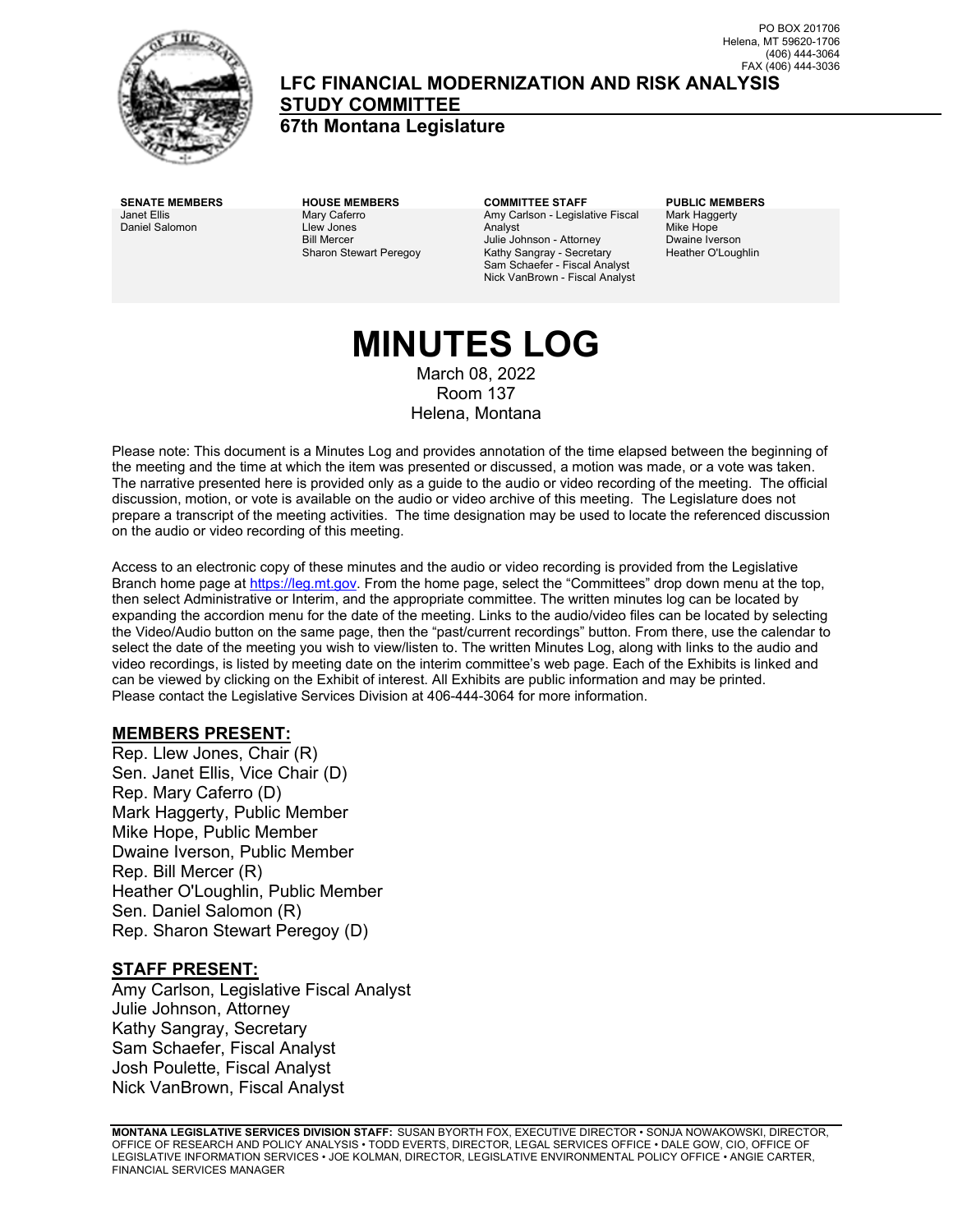

**LFC FINANCIAL MODERNIZATION AND RISK ANALYSIS STUDY COMMITTEE**

**67th Montana Legislature**

Janet Ellis Daniel Salomon Mary Caferro Llew Jones Bill Mercer Sharon Stewart Peregoy

**SENATE MEMBERS HOUSE MEMBERS COMMITTEE STAFF PUBLIC MEMBERS** Amy Carlson - Legislative Fiscal Analyst Julie Johnson - Attorney Kathy Sangray - Secretary Sam Schaefer - Fiscal Analyst Nick VanBrown - Fiscal Analyst

Mark Haggerty Mike Hope Dwaine Iverson Heather O'Loughlin

# **MINUTES LOG**

March 08, 2022 Room 137 Helena, Montana

Please note: This document is a Minutes Log and provides annotation of the time elapsed between the beginning of the meeting and the time at which the item was presented or discussed, a motion was made, or a vote was taken. The narrative presented here is provided only as a guide to the audio or video recording of the meeting. The official discussion, motion, or vote is available on the audio or video archive of this meeting. The Legislature does not prepare a transcript of the meeting activities. The time designation may be used to locate the referenced discussion on the audio or video recording of this meeting.

Access to an electronic copy of these minutes and the audio or video recording is provided from the Legislative Branch home page a[t https://leg.mt.gov.](http://legmt.gov/) From the home page, select the "Committees" drop down menu at the top, then select Administrative or Interim, and the appropriate committee. The written minutes log can be located by expanding the accordion menu for the date of the meeting. Links to the audio/video files can be located by selecting the Video/Audio button on the same page, then the "past/current recordings" button. From there, use the calendar to select the date of the meeting you wish to view/listen to. The written Minutes Log, along with links to the audio and video recordings, is listed by meeting date on the interim committee's web page. Each of the Exhibits is linked and can be viewed by clicking on the Exhibit of interest. All Exhibits are public information and may be printed. Please contact the Legislative Services Division at 406-444-3064 for more information.

#### **MEMBERS PRESENT:**

Rep. Llew Jones, Chair (R) Sen. Janet Ellis, Vice Chair (D) Rep. Mary Caferro (D) Mark Haggerty, Public Member Mike Hope, Public Member Dwaine Iverson, Public Member Rep. Bill Mercer (R) Heather O'Loughlin, Public Member Sen. Daniel Salomon (R) Rep. Sharon Stewart Peregoy (D)

#### **STAFF PRESENT:**

Amy Carlson, Legislative Fiscal Analyst Julie Johnson, Attorney Kathy Sangray, Secretary Sam Schaefer, Fiscal Analyst Josh Poulette, Fiscal Analyst Nick VanBrown, Fiscal Analyst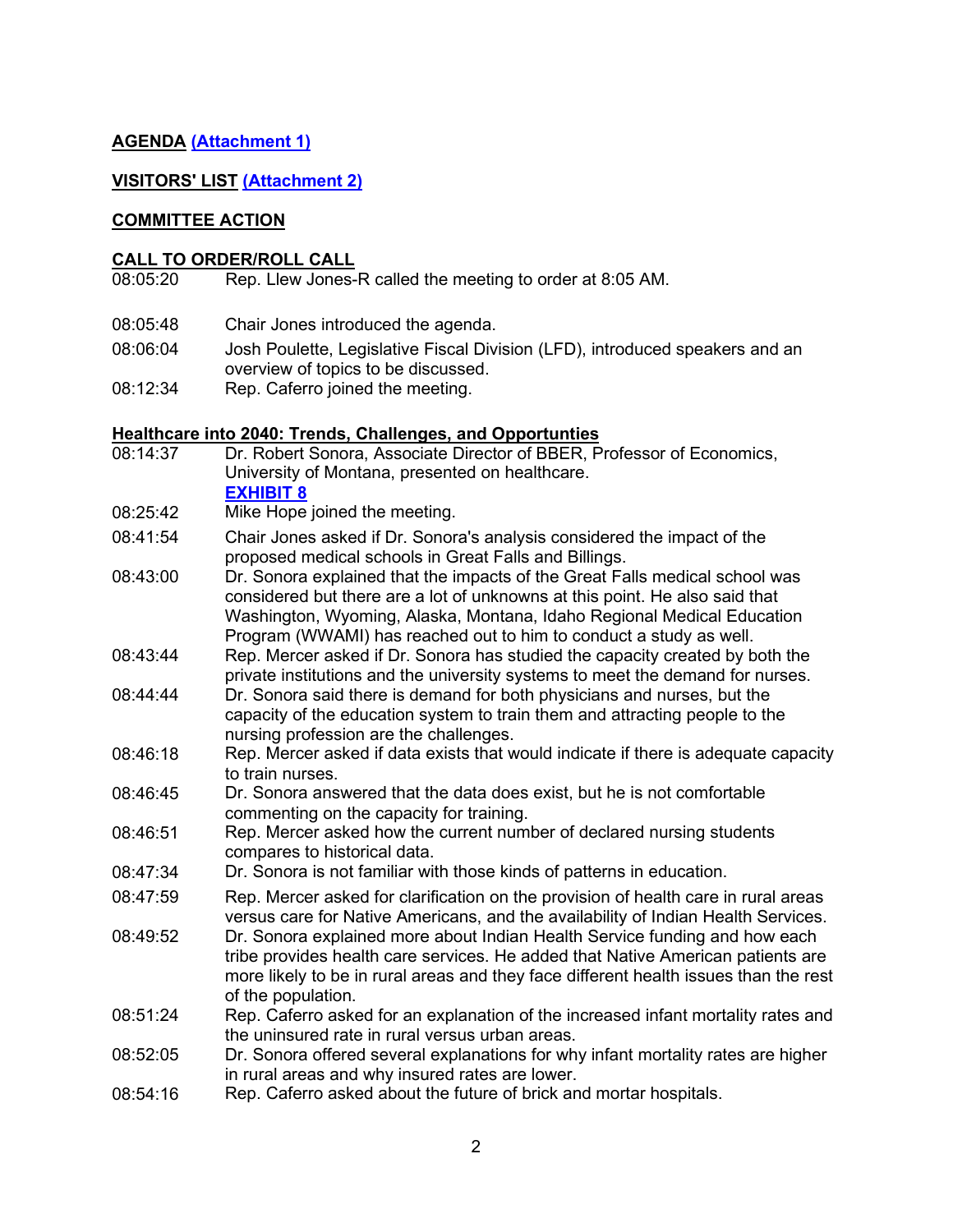### **AGENDA [\(Attachment 1\)](https://leg.mt.gov/content/publications/fiscal/2023-Interim/March-2022/MARA-Agenda-March.pdf)**

#### **VISITORS' LIST [\(Attachment 2\)](https://leg.mt.gov/content/publications/fiscal/2023-Interim/March-2022/March-MARA-Testimony-Requests.pdf)**

#### **COMMITTEE ACTION**

## **CALL TO ORDER/ROLL CALL**<br>08:05:20 Rep. Llew Jones-

- Rep. Llew Jones-R called the meeting to order at 8:05 AM.
- 08:05:48 Chair Jones introduced the agenda.
- 08:06:04 Josh Poulette, Legislative Fiscal Division (LFD), introduced speakers and an overview of topics to be discussed.
- 08:12:34 Rep. Caferro joined the meeting.

### **Healthcare into 2040: Trends, Challenges, and Opportunties**

Dr. Robert Sonora, Associate Director of BBER, Professor of Economics, University of Montana, presented on healthcare. **[EXHIBIT 8](https://leg.mt.gov/content/publications/fiscal/2023-Interim/March-2022/sonora_bber.pdf)** 08:25:42 Mike Hope joined the meeting. 08:41:54 Chair Jones asked if Dr. Sonora's analysis considered the impact of the proposed medical schools in Great Falls and Billings. 08:43:00 Dr. Sonora explained that the impacts of the Great Falls medical school was considered but there are a lot of unknowns at this point. He also said that Washington, Wyoming, Alaska, Montana, Idaho Regional Medical Education Program (WWAMI) has reached out to him to conduct a study as well. 08:43:44 Rep. Mercer asked if Dr. Sonora has studied the capacity created by both the private institutions and the university systems to meet the demand for nurses. 08:44:44 Dr. Sonora said there is demand for both physicians and nurses, but the capacity of the education system to train them and attracting people to the nursing profession are the challenges. 08:46:18 Rep. Mercer asked if data exists that would indicate if there is adequate capacity to train nurses. 08:46:45 Dr. Sonora answered that the data does exist, but he is not comfortable commenting on the capacity for training. 08:46:51 Rep. Mercer asked how the current number of declared nursing students compares to historical data. 08:47:34 Dr. Sonora is not familiar with those kinds of patterns in education. 08:47:59 Rep. Mercer asked for clarification on the provision of health care in rural areas versus care for Native Americans, and the availability of Indian Health Services. 08:49:52 Dr. Sonora explained more about Indian Health Service funding and how each tribe provides health care services. He added that Native American patients are more likely to be in rural areas and they face different health issues than the rest of the population. 08:51:24 Rep. Caferro asked for an explanation of the increased infant mortality rates and the uninsured rate in rural versus urban areas. 08:52:05 Dr. Sonora offered several explanations for why infant mortality rates are higher in rural areas and why insured rates are lower. 08:54:16 Rep. Caferro asked about the future of brick and mortar hospitals.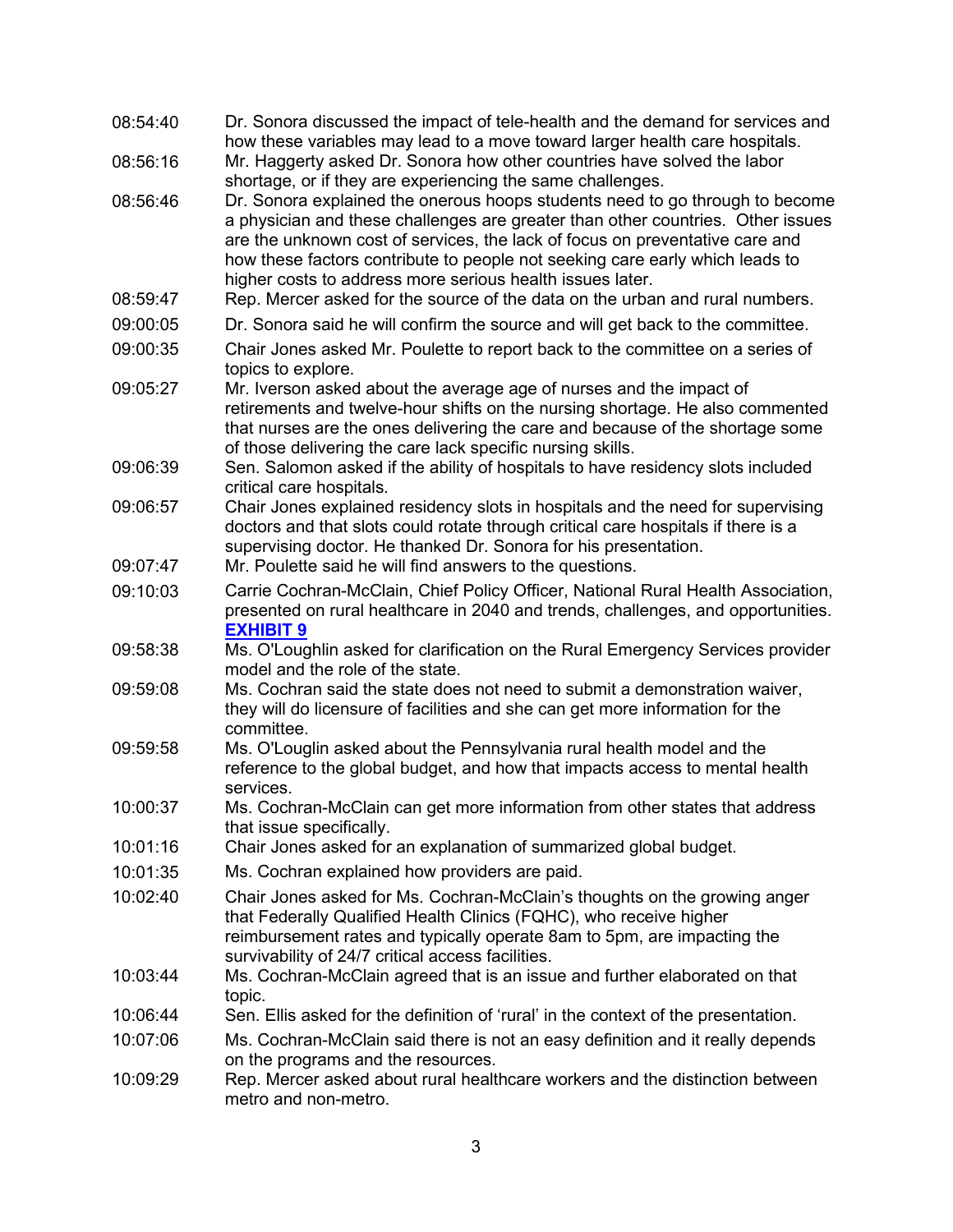| 08:54:40 | Dr. Sonora discussed the impact of tele-health and the demand for services and<br>how these variables may lead to a move toward larger health care hospitals.                                                                                                                                                                                                                                |
|----------|----------------------------------------------------------------------------------------------------------------------------------------------------------------------------------------------------------------------------------------------------------------------------------------------------------------------------------------------------------------------------------------------|
| 08:56:16 | Mr. Haggerty asked Dr. Sonora how other countries have solved the labor                                                                                                                                                                                                                                                                                                                      |
|          | shortage, or if they are experiencing the same challenges.                                                                                                                                                                                                                                                                                                                                   |
| 08:56:46 | Dr. Sonora explained the onerous hoops students need to go through to become<br>a physician and these challenges are greater than other countries. Other issues<br>are the unknown cost of services, the lack of focus on preventative care and<br>how these factors contribute to people not seeking care early which leads to<br>higher costs to address more serious health issues later. |
| 08:59:47 | Rep. Mercer asked for the source of the data on the urban and rural numbers.                                                                                                                                                                                                                                                                                                                 |
| 09:00:05 | Dr. Sonora said he will confirm the source and will get back to the committee.                                                                                                                                                                                                                                                                                                               |
| 09:00:35 | Chair Jones asked Mr. Poulette to report back to the committee on a series of<br>topics to explore.                                                                                                                                                                                                                                                                                          |
| 09:05:27 | Mr. Iverson asked about the average age of nurses and the impact of<br>retirements and twelve-hour shifts on the nursing shortage. He also commented<br>that nurses are the ones delivering the care and because of the shortage some<br>of those delivering the care lack specific nursing skills.                                                                                          |
| 09:06:39 | Sen. Salomon asked if the ability of hospitals to have residency slots included<br>critical care hospitals.                                                                                                                                                                                                                                                                                  |
| 09:06:57 | Chair Jones explained residency slots in hospitals and the need for supervising<br>doctors and that slots could rotate through critical care hospitals if there is a<br>supervising doctor. He thanked Dr. Sonora for his presentation.                                                                                                                                                      |
| 09:07:47 | Mr. Poulette said he will find answers to the questions.                                                                                                                                                                                                                                                                                                                                     |
| 09:10:03 | Carrie Cochran-McClain, Chief Policy Officer, National Rural Health Association,<br>presented on rural healthcare in 2040 and trends, challenges, and opportunities.<br><b>EXHIBIT 9</b>                                                                                                                                                                                                     |
| 09:58:38 | Ms. O'Loughlin asked for clarification on the Rural Emergency Services provider<br>model and the role of the state.                                                                                                                                                                                                                                                                          |
| 09:59:08 | Ms. Cochran said the state does not need to submit a demonstration waiver,<br>they will do licensure of facilities and she can get more information for the<br>committee.                                                                                                                                                                                                                    |
| 09:59:58 | Ms. O'Louglin asked about the Pennsylvania rural health model and the<br>reference to the global budget, and how that impacts access to mental health<br>services.                                                                                                                                                                                                                           |
| 10:00:37 | Ms. Cochran-McClain can get more information from other states that address<br>that issue specifically.                                                                                                                                                                                                                                                                                      |
| 10:01:16 | Chair Jones asked for an explanation of summarized global budget.                                                                                                                                                                                                                                                                                                                            |
| 10:01:35 | Ms. Cochran explained how providers are paid.                                                                                                                                                                                                                                                                                                                                                |
| 10:02:40 | Chair Jones asked for Ms. Cochran-McClain's thoughts on the growing anger<br>that Federally Qualified Health Clinics (FQHC), who receive higher<br>reimbursement rates and typically operate 8am to 5pm, are impacting the<br>survivability of 24/7 critical access facilities.                                                                                                              |
| 10:03:44 | Ms. Cochran-McClain agreed that is an issue and further elaborated on that<br>topic.                                                                                                                                                                                                                                                                                                         |
| 10:06:44 | Sen. Ellis asked for the definition of 'rural' in the context of the presentation.                                                                                                                                                                                                                                                                                                           |
| 10:07:06 | Ms. Cochran-McClain said there is not an easy definition and it really depends<br>on the programs and the resources.                                                                                                                                                                                                                                                                         |
| 10:09:29 | Rep. Mercer asked about rural healthcare workers and the distinction between<br>metro and non-metro.                                                                                                                                                                                                                                                                                         |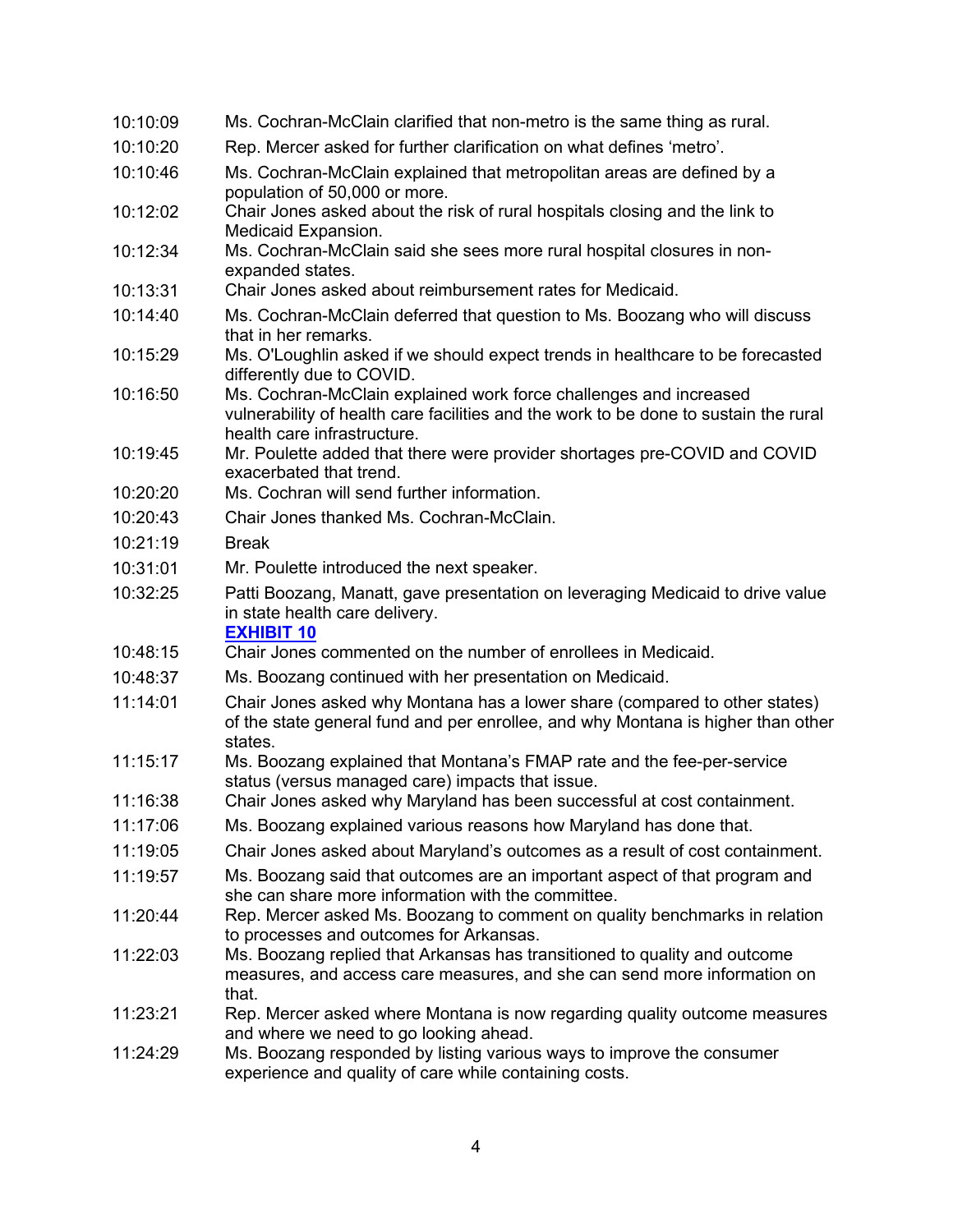| 10:10:09 | Ms. Cochran-McClain clarified that non-metro is the same thing as rural.                                                                                                                 |
|----------|------------------------------------------------------------------------------------------------------------------------------------------------------------------------------------------|
| 10:10:20 | Rep. Mercer asked for further clarification on what defines 'metro'.                                                                                                                     |
| 10:10:46 | Ms. Cochran-McClain explained that metropolitan areas are defined by a<br>population of 50,000 or more.                                                                                  |
| 10:12:02 | Chair Jones asked about the risk of rural hospitals closing and the link to<br>Medicaid Expansion.                                                                                       |
| 10:12:34 | Ms. Cochran-McClain said she sees more rural hospital closures in non-<br>expanded states.                                                                                               |
| 10:13:31 | Chair Jones asked about reimbursement rates for Medicaid.                                                                                                                                |
| 10:14:40 | Ms. Cochran-McClain deferred that question to Ms. Boozang who will discuss<br>that in her remarks.                                                                                       |
| 10:15:29 | Ms. O'Loughlin asked if we should expect trends in healthcare to be forecasted<br>differently due to COVID.                                                                              |
| 10:16:50 | Ms. Cochran-McClain explained work force challenges and increased<br>vulnerability of health care facilities and the work to be done to sustain the rural<br>health care infrastructure. |
| 10:19:45 | Mr. Poulette added that there were provider shortages pre-COVID and COVID<br>exacerbated that trend.                                                                                     |
| 10:20:20 | Ms. Cochran will send further information.                                                                                                                                               |
| 10:20:43 | Chair Jones thanked Ms. Cochran-McClain.                                                                                                                                                 |
| 10:21:19 | <b>Break</b>                                                                                                                                                                             |
| 10:31:01 | Mr. Poulette introduced the next speaker.                                                                                                                                                |
| 10:32:25 | Patti Boozang, Manatt, gave presentation on leveraging Medicaid to drive value<br>in state health care delivery.<br><b>EXHIBIT 10</b>                                                    |
| 10:48:15 | Chair Jones commented on the number of enrollees in Medicaid.                                                                                                                            |
| 10:48:37 | Ms. Boozang continued with her presentation on Medicaid.                                                                                                                                 |
| 11:14:01 | Chair Jones asked why Montana has a lower share (compared to other states)<br>of the state general fund and per enrollee, and why Montana is higher than other<br>states.                |
| 11:15:17 | Ms. Boozang explained that Montana's FMAP rate and the fee-per-service<br>status (versus managed care) impacts that issue.                                                               |
| 11:16:38 | Chair Jones asked why Maryland has been successful at cost containment.                                                                                                                  |
| 11:17:06 | Ms. Boozang explained various reasons how Maryland has done that.                                                                                                                        |
| 11:19:05 | Chair Jones asked about Maryland's outcomes as a result of cost containment.                                                                                                             |
| 11:19:57 | Ms. Boozang said that outcomes are an important aspect of that program and<br>she can share more information with the committee.                                                         |
| 11:20:44 | Rep. Mercer asked Ms. Boozang to comment on quality benchmarks in relation<br>to processes and outcomes for Arkansas.                                                                    |
| 11:22:03 | Ms. Boozang replied that Arkansas has transitioned to quality and outcome<br>measures, and access care measures, and she can send more information on<br>that.                           |
| 11:23:21 | Rep. Mercer asked where Montana is now regarding quality outcome measures<br>and where we need to go looking ahead.                                                                      |
| 11:24:29 | Ms. Boozang responded by listing various ways to improve the consumer<br>experience and quality of care while containing costs.                                                          |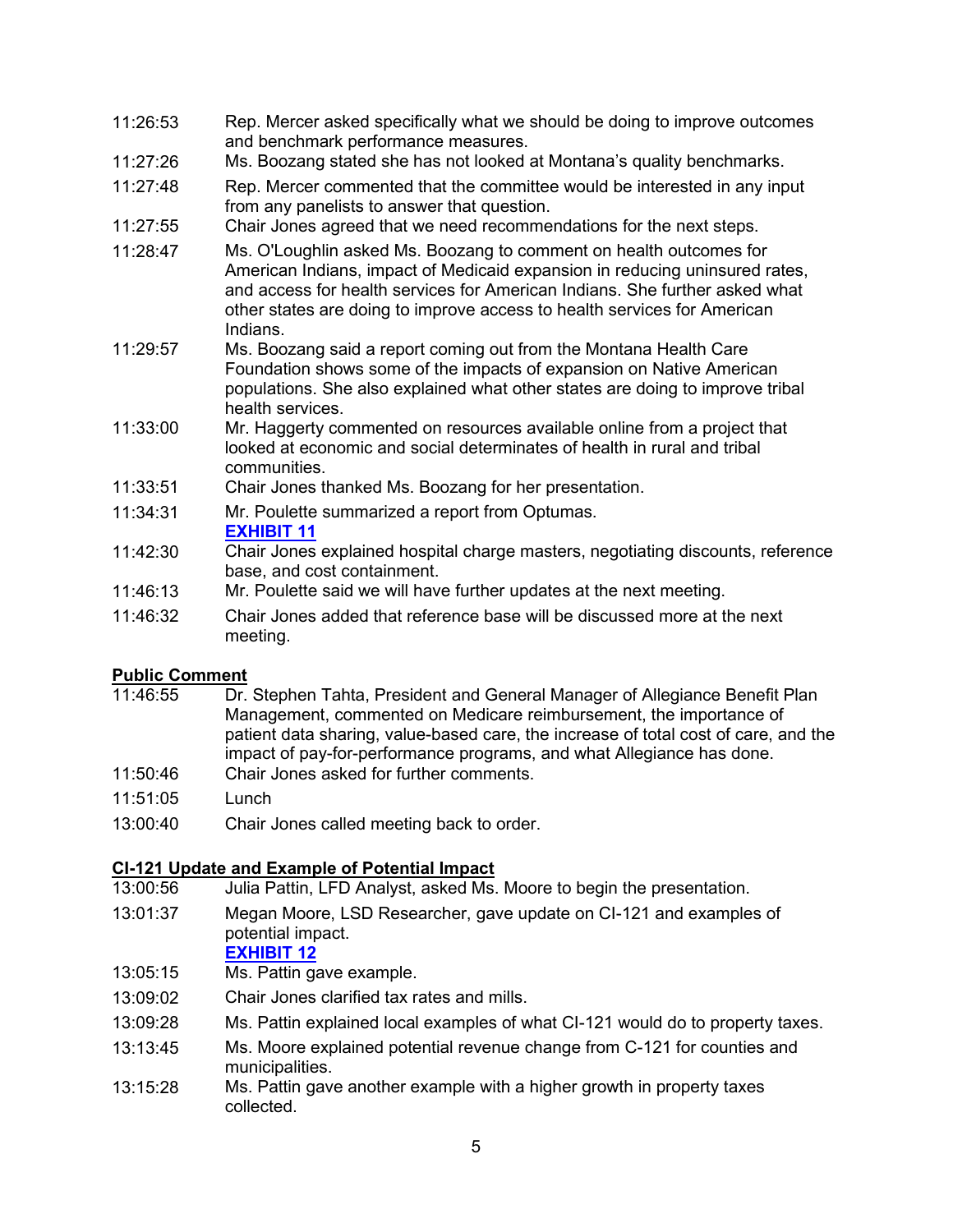- 11:26:53 Rep. Mercer asked specifically what we should be doing to improve outcomes and benchmark performance measures.
- 11:27:26 Ms. Boozang stated she has not looked at Montana's quality benchmarks.
- 11:27:48 Rep. Mercer commented that the committee would be interested in any input from any panelists to answer that question.
- 11:27:55 Chair Jones agreed that we need recommendations for the next steps.
- 11:28:47 Ms. O'Loughlin asked Ms. Boozang to comment on health outcomes for American Indians, impact of Medicaid expansion in reducing uninsured rates, and access for health services for American Indians. She further asked what other states are doing to improve access to health services for American Indians.
- 11:29:57 Ms. Boozang said a report coming out from the Montana Health Care Foundation shows some of the impacts of expansion on Native American populations. She also explained what other states are doing to improve tribal health services.
- 11:33:00 Mr. Haggerty commented on resources available online from a project that looked at economic and social determinates of health in rural and tribal communities.
- 11:33:51 Chair Jones thanked Ms. Boozang for her presentation.
- 11:34:31 Mr. Poulette summarized a report from Optumas.

#### **[EXHIBIT 11](https://leg.mt.gov/content/publications/fiscal/2023-Interim/March-2022/MARA-NASHP.pdf)**

- 11:42:30 Chair Jones explained hospital charge masters, negotiating discounts, reference base, and cost containment.
- 11:46:13 Mr. Poulette said we will have further updates at the next meeting.
- 11:46:32 Chair Jones added that reference base will be discussed more at the next meeting.

## **Public Comment**<br>11:46:55 Dr.

- Dr. Stephen Tahta, President and General Manager of Allegiance Benefit Plan Management, commented on Medicare reimbursement, the importance of patient data sharing, value-based care, the increase of total cost of care, and the impact of pay-for-performance programs, and what Allegiance has done.
- 11:50:46 Chair Jones asked for further comments.
- 11:51:05 Lunch
- 13:00:40 Chair Jones called meeting back to order.

#### **CI-121 Update and Example of Potential Impact**

- 13:00:56 Julia Pattin, LFD Analyst, asked Ms. Moore to begin the presentation.
- 13:01:37 Megan Moore, LSD Researcher, gave update on CI-121 and examples of potential impact.

#### **[EXHIBIT 12](https://leg.mt.gov/content/Committees/Interim/2021-2022/Revenue/Meetings/April-2022/CI-121-overview-potential-impacts.pdf)**

- 13:05:15 Ms. Pattin gave example.
- 13:09:02 Chair Jones clarified tax rates and mills.
- 13:09:28 Ms. Pattin explained local examples of what CI-121 would do to property taxes.
- 13:13:45 Ms. Moore explained potential revenue change from C-121 for counties and municipalities.
- 13:15:28 Ms. Pattin gave another example with a higher growth in property taxes collected.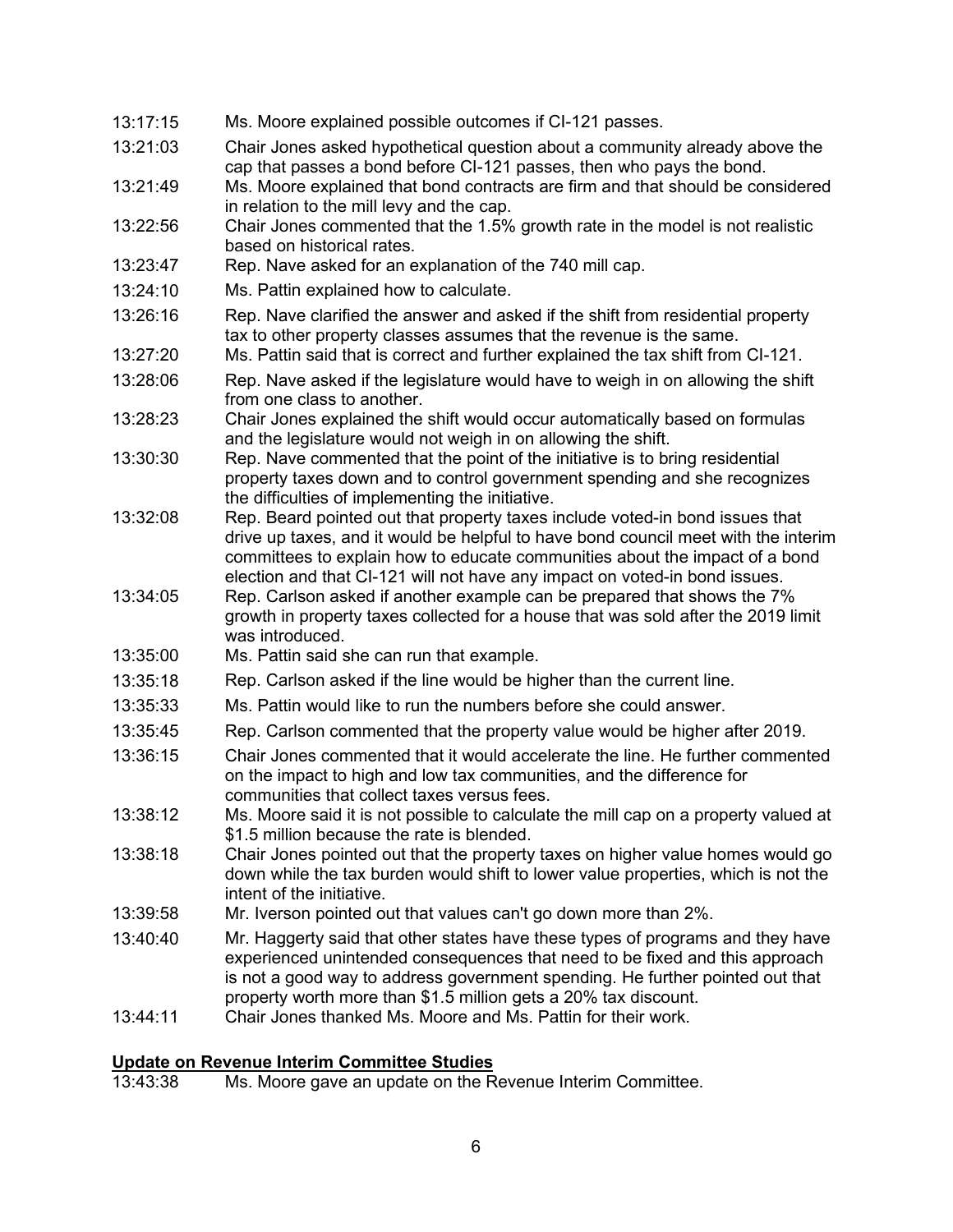| 13:17:15 | Ms. Moore explained possible outcomes if CI-121 passes.                                                                                                                                                                                                                                                                         |
|----------|---------------------------------------------------------------------------------------------------------------------------------------------------------------------------------------------------------------------------------------------------------------------------------------------------------------------------------|
| 13:21:03 | Chair Jones asked hypothetical question about a community already above the<br>cap that passes a bond before CI-121 passes, then who pays the bond.                                                                                                                                                                             |
| 13:21:49 | Ms. Moore explained that bond contracts are firm and that should be considered<br>in relation to the mill levy and the cap.                                                                                                                                                                                                     |
| 13:22:56 | Chair Jones commented that the 1.5% growth rate in the model is not realistic<br>based on historical rates.                                                                                                                                                                                                                     |
| 13:23:47 | Rep. Nave asked for an explanation of the 740 mill cap.                                                                                                                                                                                                                                                                         |
| 13:24:10 | Ms. Pattin explained how to calculate.                                                                                                                                                                                                                                                                                          |
| 13:26:16 | Rep. Nave clarified the answer and asked if the shift from residential property<br>tax to other property classes assumes that the revenue is the same.                                                                                                                                                                          |
| 13:27:20 | Ms. Pattin said that is correct and further explained the tax shift from CI-121.                                                                                                                                                                                                                                                |
| 13:28:06 | Rep. Nave asked if the legislature would have to weigh in on allowing the shift<br>from one class to another.                                                                                                                                                                                                                   |
| 13:28:23 | Chair Jones explained the shift would occur automatically based on formulas<br>and the legislature would not weigh in on allowing the shift.                                                                                                                                                                                    |
| 13:30:30 | Rep. Nave commented that the point of the initiative is to bring residential<br>property taxes down and to control government spending and she recognizes<br>the difficulties of implementing the initiative.                                                                                                                   |
| 13:32:08 | Rep. Beard pointed out that property taxes include voted-in bond issues that<br>drive up taxes, and it would be helpful to have bond council meet with the interim<br>committees to explain how to educate communities about the impact of a bond<br>election and that CI-121 will not have any impact on voted-in bond issues. |
| 13:34:05 | Rep. Carlson asked if another example can be prepared that shows the 7%<br>growth in property taxes collected for a house that was sold after the 2019 limit<br>was introduced.                                                                                                                                                 |
| 13:35:00 | Ms. Pattin said she can run that example.                                                                                                                                                                                                                                                                                       |
| 13:35:18 | Rep. Carlson asked if the line would be higher than the current line.                                                                                                                                                                                                                                                           |
| 13:35:33 | Ms. Pattin would like to run the numbers before she could answer.                                                                                                                                                                                                                                                               |
| 13:35:45 | Rep. Carlson commented that the property value would be higher after 2019.                                                                                                                                                                                                                                                      |
| 13:36:15 | Chair Jones commented that it would accelerate the line. He further commented<br>on the impact to high and low tax communities, and the difference for<br>communities that collect taxes versus fees.                                                                                                                           |
| 13:38:12 | Ms. Moore said it is not possible to calculate the mill cap on a property valued at<br>\$1.5 million because the rate is blended.                                                                                                                                                                                               |
| 13:38:18 | Chair Jones pointed out that the property taxes on higher value homes would go<br>down while the tax burden would shift to lower value properties, which is not the<br>intent of the initiative.                                                                                                                                |
| 13:39:58 | Mr. Iverson pointed out that values can't go down more than 2%.                                                                                                                                                                                                                                                                 |
| 13:40:40 | Mr. Haggerty said that other states have these types of programs and they have<br>experienced unintended consequences that need to be fixed and this approach<br>is not a good way to address government spending. He further pointed out that<br>property worth more than \$1.5 million gets a 20% tax discount.               |
| 13:44:11 | Chair Jones thanked Ms. Moore and Ms. Pattin for their work.                                                                                                                                                                                                                                                                    |
|          |                                                                                                                                                                                                                                                                                                                                 |

#### **Update on Revenue Interim Committee Studies**

13:43:38 Ms. Moore gave an update on the Revenue Interim Committee.